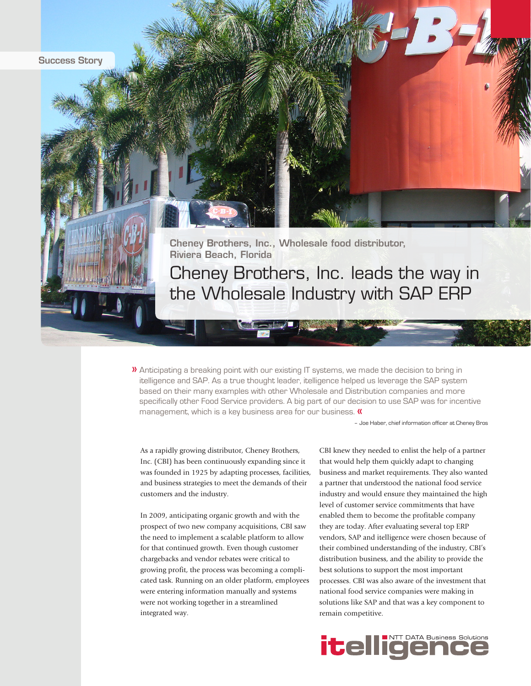

 $\lambda$  Anticipating a breaking point with our existing IT systems, we made the decision to bring in itelligence and SAP. As a true thought leader, itelligence helped us leverage the SAP system based on their many examples with other Wholesale and Distribution companies and more specifically other Food Service providers. A big part of our decision to use SAP was for incentive management, which is a key business area for our business. «

– Joe Haber, chief information officer at Cheney Bros

As a rapidly growing distributor, Cheney Brothers, Inc. (CBI) has been continuously expanding since it was founded in 1925 by adapting processes, facilities, and business strategies to meet the demands of their customers and the industry.

In 2009, anticipating organic growth and with the prospect of two new company acquisitions, CBI saw the need to implement a scalable platform to allow for that continued growth. Even though customer chargebacks and vendor rebates were critical to growing profit, the process was becoming a complicated task. Running on an older platform, employees were entering information manually and systems were not working together in a streamlined integrated way.

CBI knew they needed to enlist the help of a partner that would help them quickly adapt to changing business and market requirements. They also wanted a partner that understood the national food service industry and would ensure they maintained the high level of customer service commitments that have enabled them to become the profitable company they are today. After evaluating several top ERP vendors, SAP and itelligence were chosen because of their combined understanding of the industry, CBI's distribution business, and the ability to provide the best solutions to support the most important processes. CBI was also aware of the investment that national food service companies were making in solutions like SAP and that was a key component to remain competitive.